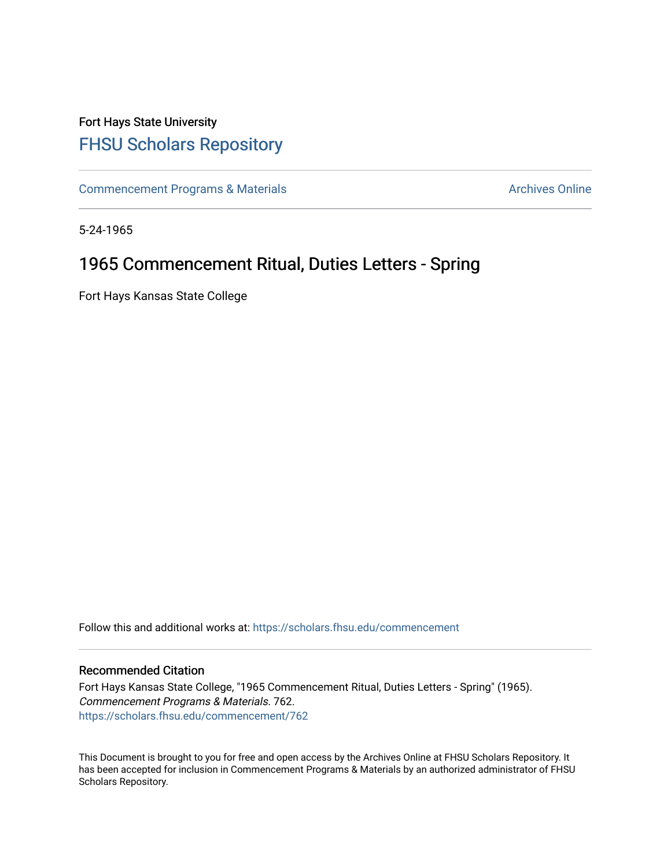## Fort Hays State University [FHSU Scholars Repository](https://scholars.fhsu.edu/)

[Commencement Programs & Materials](https://scholars.fhsu.edu/commencement) **Archives Online** Archives Online

5-24-1965

## 1965 Commencement Ritual, Duties Letters - Spring

Fort Hays Kansas State College

Follow this and additional works at: [https://scholars.fhsu.edu/commencement](https://scholars.fhsu.edu/commencement?utm_source=scholars.fhsu.edu%2Fcommencement%2F762&utm_medium=PDF&utm_campaign=PDFCoverPages)

## Recommended Citation

Fort Hays Kansas State College, "1965 Commencement Ritual, Duties Letters - Spring" (1965). Commencement Programs & Materials. 762. [https://scholars.fhsu.edu/commencement/762](https://scholars.fhsu.edu/commencement/762?utm_source=scholars.fhsu.edu%2Fcommencement%2F762&utm_medium=PDF&utm_campaign=PDFCoverPages)

This Document is brought to you for free and open access by the Archives Online at FHSU Scholars Repository. It has been accepted for inclusion in Commencement Programs & Materials by an authorized administrator of FHSU Scholars Repository.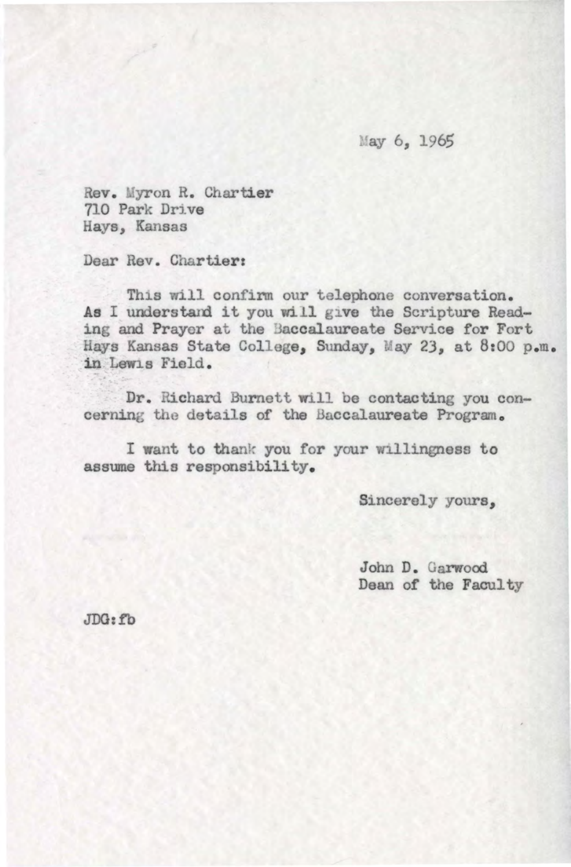May 6, 1965

Rev. Myron R. Chartier 710 Park Drive Hays, Kansas

Dear Rev. Chartier:

This will confirm our telephone conversation. As I understand it you will give the Scripture Reading and Prayer at the 3accalaureate Service for Fort Hays Kansas State College, Sunday, May 23, at 8:00 p.m. in.Lewis Field.

Dr. Richard Burnett will be contacting you concerning the details of the Baccalaureate Program.

I want to thank you for your willingness to assume this responsibility.

Sincerely yours,

John D. Garwood Dean of the Faculty

JDO:fb